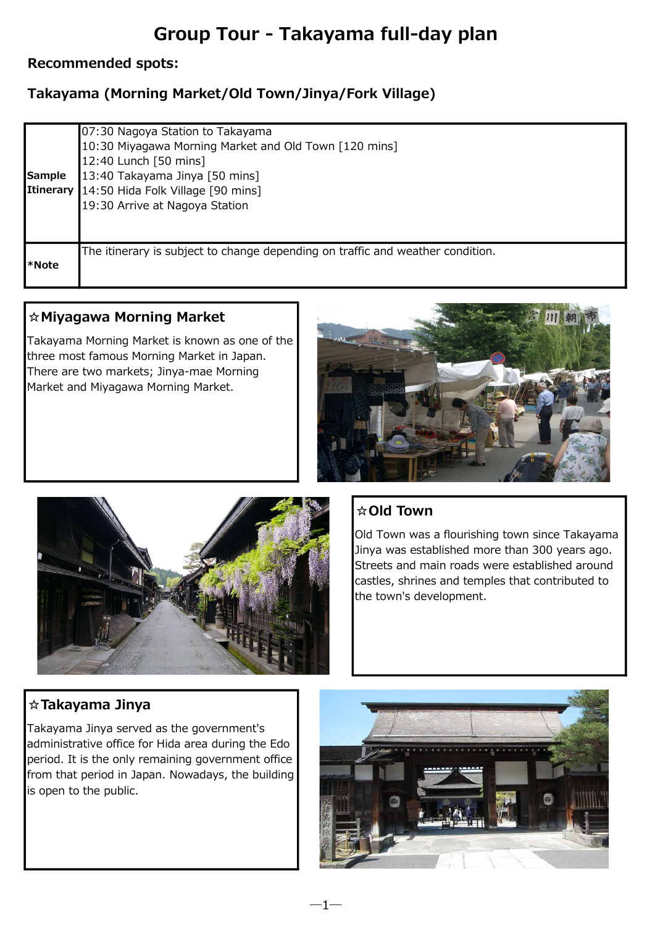# Group Tour - Takayama full-day plan

#### Recommended spots:

## Takayama (Morning Market/Old Town/Jinya/Fork Village)

| <b>Sample</b><br><b>Itinerary</b> | 07:30 Nagoya Station to Takayama<br>10:30 Miyagawa Morning Market and Old Town [120 mins]<br>12:40 Lunch [50 mins]<br>13:40 Takayama Jinya [50 mins]<br>14:50 Hida Folk Village [90 mins]<br>19:30 Arrive at Nagoya Station |
|-----------------------------------|-----------------------------------------------------------------------------------------------------------------------------------------------------------------------------------------------------------------------------|
| l*Note                            | The itinerary is subject to change depending on traffic and weather condition.                                                                                                                                              |

#### ☆Miyagawa Morning Market

Takayama Morning Market is known as one of the three most famous Morning Market in Japan. There are two markets; Jinya-mae Morning Market and Miyagawa Morning Market.





## ☆Old Town

―1―

Old Town was a flourishing town since Takayama Jinya was established more than 300 years ago. Streets and main roads were established around castles, shrines and temples that contributed to the town's development.

## ☆Takayama Jinya

Takayama Jinya served as the government's administrative office for Hida area during the Edo period. It is the only remaining government office from that period in Japan. Nowadays, the building is open to the public.